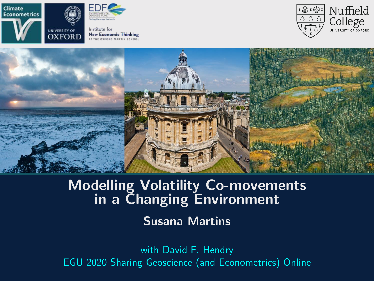<span id="page-0-0"></span>



Institute for **New Economic Thinking** THE OXFORD MARTIN SCHOOL





## Modelling Volatility Co-movements in a Changing Environment

Susana Martins

with David F. Hendry EGU 2020 Sharing Geoscience (and Econometrics) Online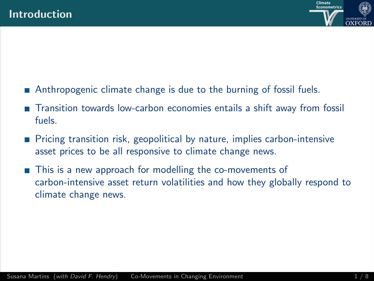

- Anthropogenic climate change is due to the burning of fossil fuels.
- Transition towards low-carbon economies entails a shift away from fossil fuels.
- **Pricing transition risk, geopolitical by nature, implies carbon-intensive** asset prices to be all responsive to climate change news.
- This is a new approach for modelling the co-movements of carbon-intensive asset return volatilities and how they globally respond to climate change news.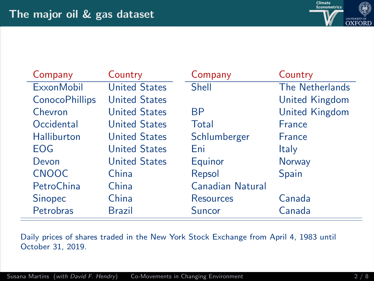

| Company               | Country              | Company          | Country               |
|-----------------------|----------------------|------------------|-----------------------|
| <b>ExxonMobil</b>     | <b>United States</b> | <b>Shell</b>     | The Netherlands       |
| <b>ConocoPhillips</b> | <b>United States</b> |                  | United Kingdom        |
| Chevron               | <b>United States</b> | <b>BP</b>        | <b>United Kingdom</b> |
| Occidental            | <b>United States</b> | Total            | <b>France</b>         |
| <b>Halliburton</b>    | <b>United States</b> | Schlumberger     | France                |
| EOG                   | <b>United States</b> | Eni              | Italy                 |
| Devon                 | <b>United States</b> | Equinor          | <b>Norway</b>         |
| <b>CNOOC</b>          | China                | Repsol           | <b>Spain</b>          |
| PetroChina            | China                | Canadian Natural |                       |
| <b>Sinopec</b>        | China                | <b>Resources</b> | Canada                |
| Petrobras             | Brazil               | Suncor           | Canada                |

Daily prices of shares traded in the New York Stock Exchange from April 4, 1983 until October 31, 2019.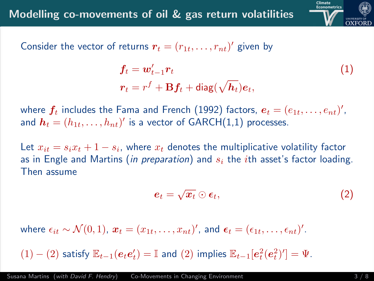

Consider the vector of returns  $\boldsymbol{r}_t = (r_{1t}, \ldots, r_{nt})'$  given by

$$
f_t = w'_{t-1} r_t
$$
  
\n
$$
r_t = r^f + B f_t + \text{diag}(\sqrt{h_t}) e_t,
$$
\n(1)

where  $\boldsymbol{f_t}$  includes the Fama and French (1992) factors,  $\boldsymbol{e_t} = (e_{1t}, \dots, e_{nt})',$ and  $\boldsymbol{h}_t = (h_{1t}, \dots, h_{nt})'$  is a vector of GARCH $(1,1)$  processes.

Let  $x_{it} = s_i x_t + 1 - s_i$ , where  $x_t$  denotes the multiplicative volatility factor as in Engle and Martins (in preparation) and  $s_i$  the *i*th asset's factor loading. Then assume

$$
e_t = \sqrt{x_t} \odot \epsilon_t, \qquad (2)
$$

where  $\epsilon_{it} \sim \mathcal{N}(0, 1)$ ,  $\boldsymbol{x}_t = (x_{1t}, \dots, x_{nt})'$ , and  $\boldsymbol{\epsilon}_t = (\epsilon_{1t}, \dots, \epsilon_{nt})'$ .

 $(1) - (2)$  satisfy  $\mathbb{E}_{t-1}(e_t e_t') = \mathbb{I}$  and  $(2)$  implies  $\mathbb{E}_{t-1}[e_t^2(e_t^2)'] = \Psi$ .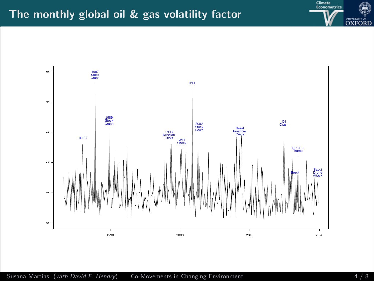

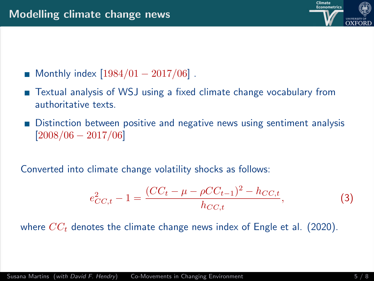

- Monthly index  $[1984/01 2017/06]$ .
- Textual analysis of WSJ using a fixed climate change vocabulary from authoritative texts.
- Distinction between positive and negative news using sentiment analysis  $[2008/06 - 2017/06]$

Converted into climate change volatility shocks as follows:

$$
e_{CC,t}^2 - 1 = \frac{(CC_t - \mu - \rho CC_{t-1})^2 - h_{CC,t}}{h_{CC,t}},
$$
\n(3)

where  $CC<sub>t</sub>$  denotes the climate change news index of Engle et al. (2020).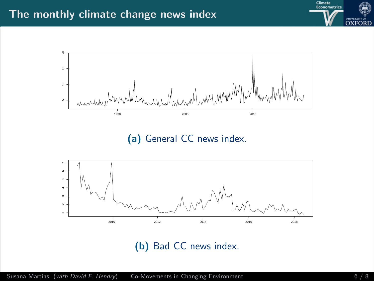



(a) General CC news index.



(b) Bad CC news index.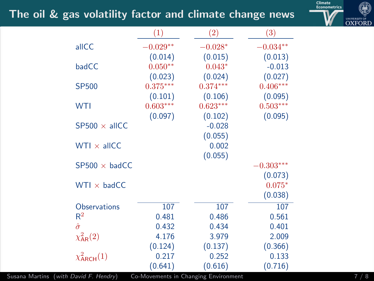## The oil & gas volatility factor and climate change news



|                        | (1)        | $\left( 2\right)$ | $\left( 3\right)$ |
|------------------------|------------|-------------------|-------------------|
| allCC                  | $-0.029**$ | $-0.028*$         | $-0.034**$        |
|                        | (0.014)    | (0.015)           | (0.013)           |
| badCC                  | $0.050**$  | $0.043*$          | $-0.013$          |
|                        | (0.023)    | (0.024)           | (0.027)           |
| <b>SP500</b>           | $0.375***$ | $0.374***$        | $0.406***$        |
|                        | (0.101)    | (0.106)           | (0.095)           |
| <b>WTI</b>             | $0.603***$ | $0.623***$        | $0.503***$        |
|                        | (0.097)    | (0.102)           | (0.095)           |
| $SP500 \times$ allCC   |            | $-0.028$          |                   |
|                        |            | (0.055)           |                   |
| $WTI \times allCC$     |            | 0.002             |                   |
|                        |            | (0.055)           |                   |
| $SP500 \times badCC$   |            |                   | $-0.303***$       |
|                        |            |                   | (0.073)           |
| $WTI \times badCC$     |            |                   | $0.075*$          |
|                        |            |                   | (0.038)           |
| <b>Observations</b>    | 107        | 107               | 107               |
| $\mathsf{R}^2$         | 0.481      | 0.486             | 0.561             |
| $\hat{\sigma}$         | 0.432      | 0.434             | 0.401             |
| $\chi^2_{AR}(2)$       | 4.176      | 3.979             | 2.009             |
|                        | (0.124)    | (0.137)           | (0.366)           |
| $\chi^2_{\rm ARCH}(1)$ | 0.217      | 0.252             | 0.133             |
|                        | (0.641)    | (0.616)           | (0.716)           |

Susana Martins (with David F. Hendry) [Co-Movements in Changing Environment](#page-0-0) 7 / 8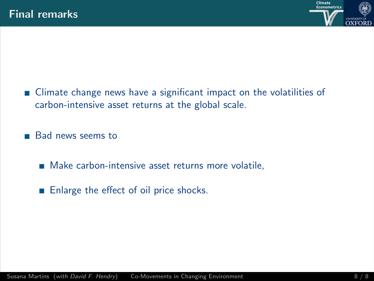

■ Climate change news have a significant impact on the volatilities of carbon-intensive asset returns at the global scale.

**Bad news seems to** 

- **Make carbon-intensive asset returns more volatile,**
- Enlarge the effect of oil price shocks.